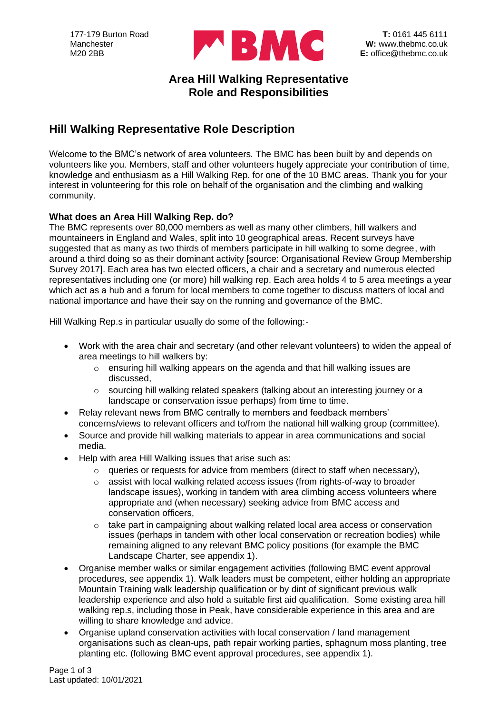

### **Area Hill Walking Representative Role and Responsibilities**

# **Hill Walking Representative Role Description**

Welcome to the BMC's network of area volunteers. The BMC has been built by and depends on volunteers like you. Members, staff and other volunteers hugely appreciate your contribution of time, knowledge and enthusiasm as a Hill Walking Rep. for one of the 10 BMC areas. Thank you for your interest in volunteering for this role on behalf of the organisation and the climbing and walking community.

#### **What does an Area Hill Walking Rep. do?**

The BMC represents over 80,000 members as well as many other climbers, hill walkers and mountaineers in England and Wales, split into 10 geographical areas. Recent surveys have suggested that as many as two thirds of members participate in hill walking to some degree, with around a third doing so as their dominant activity [source: Organisational Review Group Membership Survey 2017]. Each area has two elected officers, a chair and a secretary and numerous elected representatives including one (or more) hill walking rep. Each area holds 4 to 5 area meetings a year which act as a hub and a forum for local members to come together to discuss matters of local and national importance and have their say on the running and governance of the BMC.

Hill Walking Rep.s in particular usually do some of the following:-

- Work with the area chair and secretary (and other relevant volunteers) to widen the appeal of area meetings to hill walkers by:
	- o ensuring hill walking appears on the agenda and that hill walking issues are discussed,
	- $\circ$  sourcing hill walking related speakers (talking about an interesting journey or a landscape or conservation issue perhaps) from time to time.
- Relay relevant news from BMC centrally to members and feedback members' concerns/views to relevant officers and to/from the national hill walking group (committee).
- Source and provide hill walking materials to appear in area communications and social media.
- Help with area Hill Walking issues that arise such as:
	- $\circ$  queries or requests for advice from members (direct to staff when necessary),
	- o assist with local walking related access issues (from rights-of-way to broader landscape issues), working in tandem with area climbing access volunteers where appropriate and (when necessary) seeking advice from BMC access and conservation officers,
	- o take part in campaigning about walking related local area access or conservation issues (perhaps in tandem with other local conservation or recreation bodies) while remaining aligned to any relevant BMC policy positions (for example the BMC Landscape Charter, see appendix 1).
- Organise member walks or similar engagement activities (following BMC event approval procedures, see appendix 1). Walk leaders must be competent, either holding an appropriate Mountain Training walk leadership qualification or by dint of significant previous walk leadership experience and also hold a suitable first aid qualification. Some existing area hill walking rep.s, including those in Peak, have considerable experience in this area and are willing to share knowledge and advice.
- Organise upland conservation activities with local conservation / land management organisations such as clean-ups, path repair working parties, sphagnum moss planting, tree planting etc. (following BMC event approval procedures, see appendix 1).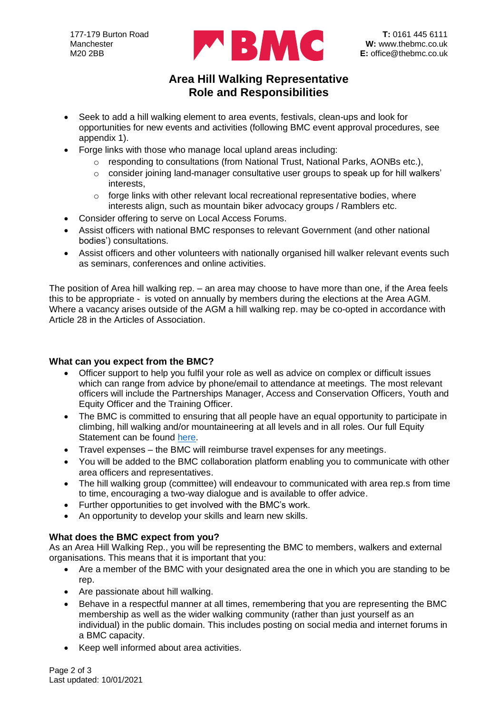

## **Area Hill Walking Representative Role and Responsibilities**

- Seek to add a hill walking element to area events, festivals, clean-ups and look for opportunities for new events and activities (following BMC event approval procedures, see appendix 1).
- Forge links with those who manage local upland areas including:
	- $\circ$  responding to consultations (from National Trust, National Parks, AONBs etc.),
	- $\circ$  consider joining land-manager consultative user groups to speak up for hill walkers' interests,
	- $\circ$  forge links with other relevant local recreational representative bodies, where interests align, such as mountain biker advocacy groups / Ramblers etc.
- Consider offering to serve on Local Access Forums.
- Assist officers with national BMC responses to relevant Government (and other national bodies') consultations.
- Assist officers and other volunteers with nationally organised hill walker relevant events such as seminars, conferences and online activities.

The position of Area hill walking rep. – an area may choose to have more than one, if the Area feels this to be appropriate - is voted on annually by members during the elections at the Area AGM. Where a vacancy arises outside of the AGM a hill walking rep. may be co-opted in accordance with Article 28 in the Articles of Association.

#### **What can you expect from the BMC?**

- Officer support to help you fulfil your role as well as advice on complex or difficult issues which can range from advice by phone/email to attendance at meetings. The most relevant officers will include the Partnerships Manager, Access and Conservation Officers, Youth and Equity Officer and the Training Officer.
- The BMC is committed to ensuring that all people have an equal opportunity to participate in climbing, hill walking and/or mountaineering at all levels and in all roles. Our full Equity Statement can be found [here.](https://www.thebmc.co.uk/bmc-equity-statement)
- Travel expenses the BMC will reimburse travel expenses for any meetings.
- You will be added to the BMC collaboration platform enabling you to communicate with other area officers and representatives.
- The hill walking group (committee) will endeavour to communicated with area rep.s from time to time, encouraging a two-way dialogue and is available to offer advice.
- Further opportunities to get involved with the BMC's work.
- An opportunity to develop your skills and learn new skills.

#### **What does the BMC expect from you?**

As an Area Hill Walking Rep., you will be representing the BMC to members, walkers and external organisations. This means that it is important that you:

- Are a member of the BMC with your designated area the one in which you are standing to be rep.
- Are passionate about hill walking.
- Behave in a respectful manner at all times, remembering that you are representing the BMC membership as well as the wider walking community (rather than just yourself as an individual) in the public domain. This includes posting on social media and internet forums in a BMC capacity.
- Keep well informed about area activities.